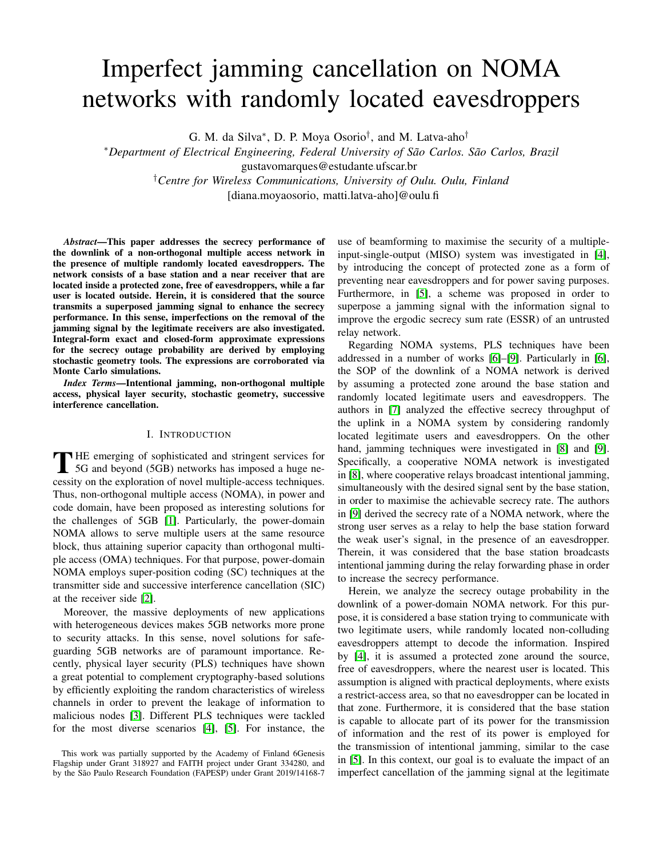# Imperfect jamming cancellation on NOMA networks with randomly located eavesdroppers

G. M. da Silva<sup>∗</sup>, D. P. Moya Osorio<sup>†</sup>, and M. Latva-aho<sup>†</sup>

<sup>∗</sup>*Department of Electrical Engineering, Federal University of São Carlos. São Carlos, Brazil* gustavomarques@estudante.ufscar.br

†*Centre for Wireless Communications, University of Oulu. Oulu, Finland*

[diana.moyaosorio, matti.latva-aho]@oulu•fi

*Abstract*—This paper addresses the secrecy performance of the downlink of a non-orthogonal multiple access network in the presence of multiple randomly located eavesdroppers. The network consists of a base station and a near receiver that are located inside a protected zone, free of eavesdroppers, while a far user is located outside. Herein, it is considered that the source transmits a superposed jamming signal to enhance the secrecy performance. In this sense, imperfections on the removal of the jamming signal by the legitimate receivers are also investigated. Integral-form exact and closed-form approximate expressions for the secrecy outage probability are derived by employing stochastic geometry tools. The expressions are corroborated via Monte Carlo simulations.

*Index Terms*—Intentional jamming, non-orthogonal multiple access, physical layer security, stochastic geometry, successive interference cancellation.

# I. INTRODUCTION

THE emerging of sophisticated and stringent services for<br>5G and beyond (5GB) networks has imposed a huge ne-<br>servitive of the employeding of neural multiple access to the impose 5G and beyond (5GB) networks has imposed a huge necessity on the exploration of novel multiple-access techniques. Thus, non-orthogonal multiple access (NOMA), in power and code domain, have been proposed as interesting solutions for the challenges of 5GB [\[1\]](#page-5-0). Particularly, the power-domain NOMA allows to serve multiple users at the same resource block, thus attaining superior capacity than orthogonal multiple access (OMA) techniques. For that purpose, power-domain NOMA employs super-position coding (SC) techniques at the transmitter side and successive interference cancellation (SIC) at the receiver side [\[2\]](#page-5-1).

Moreover, the massive deployments of new applications with heterogeneous devices makes 5GB networks more prone to security attacks. In this sense, novel solutions for safeguarding 5GB networks are of paramount importance. Recently, physical layer security (PLS) techniques have shown a great potential to complement cryptography-based solutions by efficiently exploiting the random characteristics of wireless channels in order to prevent the leakage of information to malicious nodes [\[3\]](#page-5-2). Different PLS techniques were tackled for the most diverse scenarios [\[4\]](#page-5-3), [\[5\]](#page-5-4). For instance, the

This work was partially supported by the Academy of Finland 6Genesis Flagship under Grant 318927 and FAITH project under Grant 334280, and by the São Paulo Research Foundation (FAPESP) under Grant 2019/14168-7

use of beamforming to maximise the security of a multipleinput-single-output (MISO) system was investigated in [\[4\]](#page-5-3), by introducing the concept of protected zone as a form of preventing near eavesdroppers and for power saving purposes. Furthermore, in [\[5\]](#page-5-4), a scheme was proposed in order to superpose a jamming signal with the information signal to improve the ergodic secrecy sum rate (ESSR) of an untrusted relay network.

Regarding NOMA systems, PLS techniques have been addressed in a number of works [\[6\]](#page-5-5)–[\[9\]](#page-5-6). Particularly in [\[6\]](#page-5-5), the SOP of the downlink of a NOMA network is derived by assuming a protected zone around the base station and randomly located legitimate users and eavesdroppers. The authors in [\[7\]](#page-5-7) analyzed the effective secrecy throughput of the uplink in a NOMA system by considering randomly located legitimate users and eavesdroppers. On the other hand, jamming techniques were investigated in [\[8\]](#page-5-8) and [\[9\]](#page-5-6). Specifically, a cooperative NOMA network is investigated in [\[8\]](#page-5-8), where cooperative relays broadcast intentional jamming, simultaneously with the desired signal sent by the base station, in order to maximise the achievable secrecy rate. The authors in [\[9\]](#page-5-6) derived the secrecy rate of a NOMA network, where the strong user serves as a relay to help the base station forward the weak user's signal, in the presence of an eavesdropper. Therein, it was considered that the base station broadcasts intentional jamming during the relay forwarding phase in order to increase the secrecy performance.

Herein, we analyze the secrecy outage probability in the downlink of a power-domain NOMA network. For this purpose, it is considered a base station trying to communicate with two legitimate users, while randomly located non-colluding eavesdroppers attempt to decode the information. Inspired by [\[4\]](#page-5-3), it is assumed a protected zone around the source, free of eavesdroppers, where the nearest user is located. This assumption is aligned with practical deployments, where exists a restrict-access area, so that no eavesdropper can be located in that zone. Furthermore, it is considered that the base station is capable to allocate part of its power for the transmission of information and the rest of its power is employed for the transmission of intentional jamming, similar to the case in [\[5\]](#page-5-4). In this context, our goal is to evaluate the impact of an imperfect cancellation of the jamming signal at the legitimate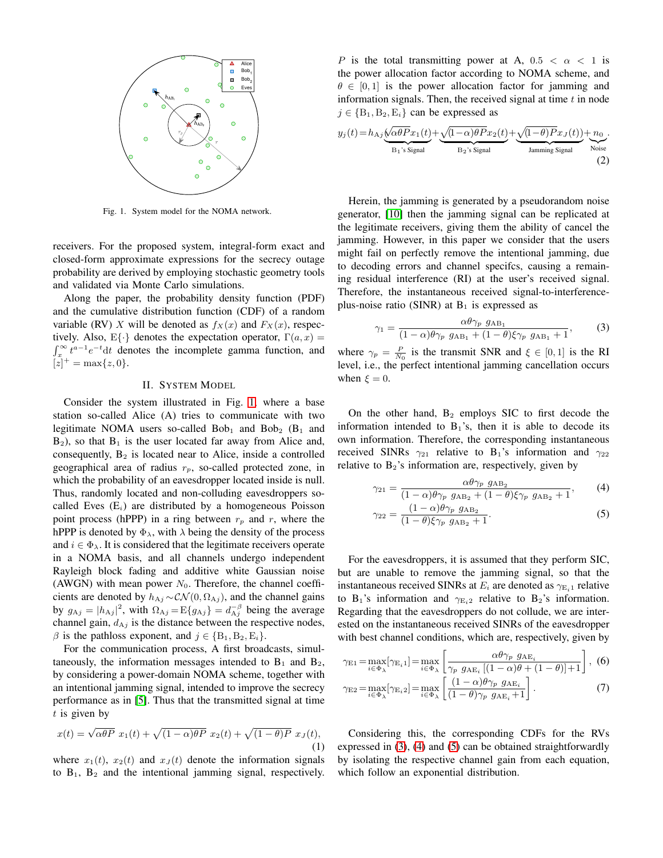

<span id="page-1-0"></span>Fig. 1. System model for the NOMA network.

receivers. For the proposed system, integral-form exact and closed-form approximate expressions for the secrecy outage probability are derived by employing stochastic geometry tools and validated via Monte Carlo simulations.

Along the paper, the probability density function (PDF) and the cumulative distribution function (CDF) of a random variable (RV) X will be denoted as  $f_X(x)$  and  $F_X(x)$ , respectively. Also,  $E\{\cdot\}$  denotes the expectation operator,  $\Gamma(a, x) =$  $\int_x^{\infty} t^{a-1} e^{-t} dt$  denotes the incomplete gamma function, and  $[z]^{+} = \max\{z, 0\}.$ 

## II. SYSTEM MODEL

<span id="page-1-5"></span>Consider the system illustrated in Fig. [1,](#page-1-0) where a base station so-called Alice (A) tries to communicate with two legitimate NOMA users so-called Bob<sub>1</sub> and Bob<sub>2</sub> (B<sub>1</sub> and  $B_2$ ), so that  $B_1$  is the user located far away from Alice and, consequently,  $B_2$  is located near to Alice, inside a controlled geographical area of radius  $r_p$ , so-called protected zone, in which the probability of an eavesdropper located inside is null. Thus, randomly located and non-colluding eavesdroppers socalled Eves  $(E_i)$  are distributed by a homogeneous Poisson point process (hPPP) in a ring between  $r_p$  and r, where the hPPP is denoted by  $\Phi_{\lambda}$ , with  $\lambda$  being the density of the process and  $i \in \Phi_{\lambda}$ . It is considered that the legitimate receivers operate in a NOMA basis, and all channels undergo independent Rayleigh block fading and additive white Gaussian noise (AWGN) with mean power  $N_0$ . Therefore, the channel coefficients are denoted by  $h_{\text{A}j} \sim \mathcal{CN}(0, \Omega_{\text{A}j})$ , and the channel gains by  $g_{\text{A}j} = |h_{\text{A}j}|^2$ , with  $\Omega_{\text{A}j} = E\{g_{\text{A}j}\} = d_{\text{A}j}^{-\beta}$  being the average channel gain,  $d_{\text{A}j}$  is the distance between the respective nodes,  $\beta$  is the pathloss exponent, and  $j \in \{B_1, B_2, E_i\}.$ 

For the communication process, A first broadcasts, simultaneously, the information messages intended to  $B_1$  and  $B_2$ , by considering a power-domain NOMA scheme, together with an intentional jamming signal, intended to improve the secrecy performance as in [\[5\]](#page-5-4). Thus that the transmitted signal at time  $t$  is given by

$$
x(t) = \sqrt{\alpha \theta P} x_1(t) + \sqrt{(1 - \alpha)\theta P} x_2(t) + \sqrt{(1 - \theta)P} x_3(t),
$$
\n(1)

where  $x_1(t)$ ,  $x_2(t)$  and  $x_J(t)$  denote the information signals to  $B_1$ ,  $B_2$  and the intentional jamming signal, respectively.

P is the total transmitting power at A,  $0.5 < \alpha < 1$  is the power allocation factor according to NOMA scheme, and  $\theta \in [0, 1]$  is the power allocation factor for jamming and information signals. Then, the received signal at time  $t$  in node  $j \in {\rm B}_1, {\rm B}_2, {\rm E}_i$  can be expressed as

$$
y_j(t) = h_{\text{A}_j} \underbrace{\left(\frac{\sqrt{\alpha \theta P} x_1(t)}{B_1 \text{'s Signal}} + \frac{\sqrt{(1-\alpha) \theta P} x_2(t)}{B_2 \text{'s Signal}} + \frac{\sqrt{(1-\theta) P} x_J(t)}{J_{\text{amming Signal}}}\right)}_{\text{Manning Signal}} + \frac{n_0}{N_{\text{oise}}}.
$$
\n(2)

Herein, the jamming is generated by a pseudorandom noise generator, [\[10\]](#page-5-9) then the jamming signal can be replicated at the legitimate receivers, giving them the ability of cancel the jamming. However, in this paper we consider that the users might fail on perfectly remove the intentional jamming, due to decoding errors and channel specifcs, causing a remaining residual interference (RI) at the user's received signal. Therefore, the instantaneous received signal-to-interferenceplus-noise ratio (SINR) at  $B_1$  is expressed as

<span id="page-1-1"></span>
$$
\gamma_1 = \frac{\alpha \theta \gamma_p \ g_{AB_1}}{(1 - \alpha) \theta \gamma_p \ g_{AB_1} + (1 - \theta) \xi \gamma_p \ g_{AB_1} + 1},\tag{3}
$$

where  $\gamma_p = \frac{P}{N_0}$  is the transmit SNR and  $\xi \in [0, 1]$  is the RI level, i.e., the perfect intentional jamming cancellation occurs when  $\xi = 0$ .

On the other hand,  $B_2$  employs SIC to first decode the information intended to  $B_1$ 's, then it is able to decode its own information. Therefore, the corresponding instantaneous received SINRs  $\gamma_{21}$  relative to B<sub>1</sub>'s information and  $\gamma_{22}$ relative to  $B_2$ 's information are, respectively, given by

<span id="page-1-2"></span>
$$
\gamma_{21} = \frac{\alpha \theta \gamma_p \ g_{AB_2}}{(1 - \alpha)\theta \gamma_p \ g_{AB_2} + (1 - \theta)\xi \gamma_p \ g_{AB_2} + 1},\tag{4}
$$

<span id="page-1-3"></span>
$$
\gamma_{22} = \frac{(1-\alpha)\theta\gamma_p \, g_{AB_2}}{(1-\theta)\xi\gamma_p \, g_{AB_2} + 1}.\tag{5}
$$

For the eavesdroppers, it is assumed that they perform SIC, but are unable to remove the jamming signal, so that the instantaneous received SINRs at  $E_i$  are denoted as  $\gamma_{E_i}$  relative to B<sub>1</sub>'s information and  $\gamma_{E_i}$  relative to B<sub>2</sub>'s information. Regarding that the eavesdroppers do not collude, we are interested on the instantaneous received SINRs of the eavesdropper with best channel conditions, which are, respectively, given by

<span id="page-1-4"></span>
$$
\gamma_{\text{E1}} = \max_{i \in \Phi_{\lambda}} [\gamma_{\text{E}_i 1}] = \max_{i \in \Phi_{\lambda}} \left[ \frac{\alpha \theta \gamma_p \ g_{\text{AE}_i}}{\gamma_p \ g_{\text{AE}_i} \left[ (1 - \alpha) \theta + (1 - \theta) \right] + 1} \right], \tag{6}
$$

$$
\gamma_{\text{E2}} = \max_{i \in \Phi_{\lambda}} [\gamma_{\text{E}_i 2}] = \max_{i \in \Phi_{\lambda}} \left[ \frac{(1 - \alpha) \theta \gamma_p \ g_{\text{AE}_i}}{(1 - \theta) \gamma_p \ g_{\text{AE}_i} + 1} \right]. \tag{7}
$$

Considering this, the corresponding CDFs for the RVs expressed in [\(3\)](#page-1-1), [\(4\)](#page-1-2) and [\(5\)](#page-1-3) can be obtained straightforwardly by isolating the respective channel gain from each equation, which follow an exponential distribution.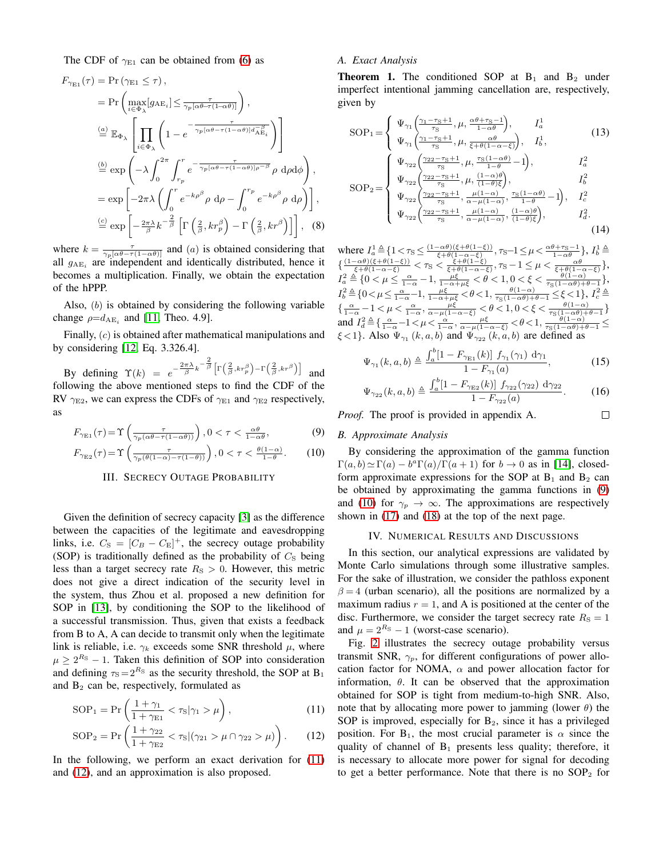The CDF of  $\gamma_{E1}$  can be obtained from [\(6\)](#page-1-4) as

$$
F_{\gamma_{\text{E1}}}(\tau) = \Pr(\gamma_{\text{E1}} \leq \tau),
$$
  
\n
$$
= \Pr\left(\max_{i \in \Phi_{\lambda}} [g_{\text{AE}_{i}}] \leq \frac{\tau}{\gamma_{p}[\alpha \theta - \tau(1-\alpha \theta)]}\right),
$$
  
\n
$$
\stackrel{(a)}{=} \mathbb{E}_{\Phi_{\lambda}} \left[ \prod_{i \in \Phi_{\lambda}} \left(1 - e^{-\frac{\tau}{\gamma_{p}[\alpha \theta - \tau(1-\alpha \theta)] d_{\text{AE}_{i}}^{-\beta}}}\right) \right]
$$
  
\n
$$
\stackrel{(b)}{=} \exp\left(-\lambda \int_{0}^{2\pi} \int_{r_{p}}^{r} e^{-\frac{\tau}{\gamma_{p}[\alpha \theta - \tau(1-\alpha \theta)] \rho^{-\beta}} \rho d\rho d\phi}\right),
$$
  
\n
$$
= \exp\left[-2\pi \lambda \left(\int_{0}^{r} e^{-k\rho^{\beta}} \rho d\rho - \int_{0}^{r_{p}} e^{-k\rho^{\beta}} \rho d\rho\right)\right],
$$
  
\n
$$
\stackrel{(c)}{=} \exp\left[-\frac{2\pi \lambda}{\beta} k^{-\frac{2}{\beta}} \left[\Gamma\left(\frac{2}{\beta}, kr^{\beta}\right) - \Gamma\left(\frac{2}{\beta}, kr^{\beta}\right)\right]\right],
$$
 (8)

where  $k = \frac{\tau}{\gamma_p [\alpha \theta - \tau (1 - \alpha \theta)]}$  and (*a*) is obtained considering that all  $g_{AE_i}$  are independent and identically distributed, hence it becomes a multiplication. Finally, we obtain the expectation of the hPPP.

Also, (b) is obtained by considering the following variable change  $\rho = d_{AE_i}$  and [\[11,](#page-5-10) Theo. 4.9].

Finally, (c) is obtained after mathematical manipulations and by considering [\[12,](#page-5-11) Eq. 3.326.4].

By defining  $\Upsilon(k) = e^{-\frac{2\pi\lambda}{\beta}k^{-\frac{2}{\beta}}} \left[ \Gamma(\frac{2}{\beta}, kr_p^{\beta}) - \Gamma(\frac{2}{\beta}, kr_p^{\beta}) \right]$  and following the above mentioned steps to find the CDF of the RV  $\gamma_{\rm E2}$ , we can express the CDFs of  $\gamma_{\rm E1}$  and  $\gamma_{\rm E2}$  respectively, as

$$
F_{\gamma_{\rm E1}}(\tau) = \Upsilon \left( \frac{\tau}{\gamma_p(\alpha \theta - \tau(1 - \alpha \theta))} \right), 0 < \tau < \frac{\alpha \theta}{1 - \alpha \theta},\tag{9}
$$

<span id="page-2-4"></span>
$$
F_{\gamma_{\text{E2}}}(\tau) = \Upsilon \left( \frac{\tau}{\gamma_p(\theta(1-\alpha) - \tau(1-\theta))} \right), 0 < \tau < \frac{\theta(1-\alpha)}{1-\theta}. \tag{10}
$$

# III. SECRECY OUTAGE PROBABILITY

Given the definition of secrecy capacity [\[3\]](#page-5-2) as the difference between the capacities of the legitimate and eavesdropping links, i.e.  $C_{\rm S} = [C_B - C_{\rm E}]^+$ , the secrecy outage probability (SOP) is traditionally defined as the probability of  $C<sub>S</sub>$  being less than a target secrecy rate  $R<sub>S</sub> > 0$ . However, this metric does not give a direct indication of the security level in the system, thus Zhou et al. proposed a new definition for SOP in [\[13\]](#page-5-12), by conditioning the SOP to the likelihood of a successful transmission. Thus, given that exists a feedback from B to A, A can decide to transmit only when the legitimate link is reliable, i.e.  $\gamma_k$  exceeds some SNR threshold  $\mu$ , where  $\mu \geq 2^{R_S} - 1$ . Taken this definition of SOP into consideration and defining  $\tau_s = 2^{R_s}$  as the security threshold, the SOP at B<sub>1</sub> and  $B_2$  can be, respectively, formulated as

$$
SOP_1 = \Pr\left(\frac{1+\gamma_1}{1+\gamma_{\text{E1}}} < \tau_{\text{S}}|\gamma_1 > \mu\right),\tag{11}
$$

$$
SOP_2 = \Pr\left(\frac{1+\gamma_{22}}{1+\gamma_{E2}} < \tau_{S} | (\gamma_{21} > \mu \cap \gamma_{22} > \mu) \right). \tag{12}
$$

In the following, we perform an exact derivation for [\(11\)](#page-2-0) and [\(12\)](#page-2-1), and an approximation is also proposed.

## *A. Exact Analysis*

**Theorem 1.** The conditioned SOP at  $B_1$  and  $B_2$  under imperfect intentional jamming cancellation are, respectively, given by

$$
SOP_1 = \begin{cases} \Psi_{\gamma_1} \left( \frac{\gamma_1 - \tau_S + 1}{\tau_S}, \mu, \frac{\alpha \theta + \tau_S - 1}{1 - \alpha \theta} \right), & I_a^1 \\ \Psi_{\gamma_1} \left( \frac{\gamma_1 - \tau_S + 1}{\tau_S}, \mu, \frac{\alpha \theta}{\xi + \theta (1 - \alpha - \xi)} \right), & I_b^1, \\ \Psi_{\gamma_2 2} \left( \frac{\gamma_2 2 - \tau_S + 1}{\tau_S}, \mu, \frac{\tau_S (1 - \alpha \theta)}{1 - \theta} - 1 \right), & I_a^2 \end{cases}
$$
(13)

$$
SOP_2 = \begin{cases} \Psi_{\gamma_{22}} \frac{\gamma_{22} - \tau_{S} + 1}{\tau_{S}}, \mu, \frac{\tau_{1-\theta}}{1-\theta} - 1, \\ \Psi_{\gamma_{22}} \frac{\gamma_{22} - \tau_{S} + 1}{\tau_{S}}, \mu, \frac{(1-\alpha)\theta}{(1-\theta)\xi}, \\ \Psi_{\gamma_{22}} \frac{\gamma_{22} - \tau_{S} + 1}{\tau_{S}}, \frac{\mu(1-\alpha)}{\alpha - \mu(1-\alpha)}, \frac{\tau_{S}(1-\alpha\theta)}{1-\theta} - 1, \\ \Psi_{\gamma_{22}} \frac{\gamma_{22} - \tau_{S} + 1}{\tau_{S}}, \frac{\mu(1-\alpha)}{\alpha - \mu(1-\alpha)}, \frac{(1-\alpha)\theta}{(1-\theta)\xi}, \\ \end{cases}
$$
 (14)

where  $I_a^1 \triangleq \{1 \lt \tau_S \leq \frac{(1-\alpha\theta)(\xi+\theta(1-\xi))}{\xi+\theta(1-\alpha-\xi)}, \tau_S-1 \leq \mu \leq \frac{\alpha\theta+\tau_S-1}{1-\alpha\theta}\}, I_b^1 \triangleq$  $\{\frac{(1-\alpha\theta)(\xi+\theta(1-\xi))}{\xi+\theta(1-\alpha-\xi)} < \tau_S < \frac{\xi+\theta(1-\xi)}{\xi+\theta(1-\alpha-\xi)}, \tau_S-1 \leq \mu < \frac{\alpha\theta}{\xi+\theta(1-\alpha-\xi)}\},$  $I_a^2 \triangleq \{0 < \mu \leq \frac{\alpha}{1-\alpha}-1, \frac{\mu\xi}{1-\alpha+\mu\xi} < \theta < 1, 0 < \xi < \frac{\theta(1-\alpha)}{\tau_S(1-\alpha\theta)+\theta-1}\},$  $I_b^2 \triangleq \{0 < \mu \leq \tfrac{\alpha}{1-\alpha}-1, \tfrac{\mu\xi}{1-\alpha+\mu\xi} < \theta < 1, \tfrac{\theta(1-\alpha)}{\tau_\mathbf{S}(1-\alpha\theta)+\theta-1} \leq \xi < 1\}, \ I_c^2 \triangleq$  $\{\tfrac{\alpha}{1-\alpha}-1<\mu<\tfrac{\alpha}{1-\alpha},\tfrac{\mu\xi}{\alpha-\mu(1-\alpha-\xi)}<\theta<1, 0<\xi<\tfrac{\theta(1-\alpha)}{\tau_{\mathcal{S}}(1-\alpha\theta)+\theta-1}\}$ and  $I_d^2 \triangleq \left\{ \frac{\alpha}{1-\alpha} - 1 \right. \left. \left. \left. \left. \frac{\alpha}{\alpha - \mu(1-\alpha-\xi)} \right. \right. \right. \left. \left. \left. \frac{\beta(1-\alpha)}{\tau_{\rm S}(1-\alpha\theta)+\theta-1} \right. \right. \right. \right. \left. \left. \frac{\beta(1-\alpha)}{\tau_{\rm S}(1-\alpha\theta)+\theta-1} \right. \right. \left. \left. \frac{\beta(1-\alpha)}{\tau_{\rm S}(1-\alpha\theta)+\theta-1} \right. \right. \left. \left. \frac{\beta(1-\alpha)}{\tau_{\rm S}(1-\alpha\$  $\xi < 1$ }. Also  $\Psi_{\gamma_1}(k, a, b)$  and  $\Psi_{\gamma_{22}}(k, a, b)$  are defined as

$$
\Psi_{\gamma_1}(k, a, b) \triangleq \frac{\int_a^b [1 - F_{\gamma_{E1}}(k)] f_{\gamma_1}(\gamma_1) d\gamma_1}{1 - F_{\gamma_1}(a)},
$$
\n(15)

$$
\Psi_{\gamma_{22}}(k, a, b) \triangleq \frac{\int_a^b [1 - F_{\gamma_{22}}(k)] f_{\gamma_{22}}(\gamma_{22}) d\gamma_{22}}{1 - F_{\gamma_{22}}(a)}.
$$
 (16)

<span id="page-2-5"></span> $\Box$ 

*Proof.* The proof is provided in appendix A.

#### <span id="page-2-2"></span>*B. Approximate Analysis*

<span id="page-2-3"></span>By considering the approximation of the gamma function  $\Gamma(a, b) \simeq \Gamma(a) - b^a \Gamma(a) / \Gamma(a+1)$  for  $b \to 0$  as in [\[14\]](#page-5-13), closedform approximate expressions for the SOP at  $B_1$  and  $B_2$  can be obtained by approximating the gamma functions in [\(9\)](#page-2-2) and [\(10\)](#page-2-3) for  $\gamma_p \to \infty$ . The approximations are respectively shown in [\(17\)](#page-3-0) and [\(18\)](#page-3-1) at the top of the next page.

#### IV. NUMERICAL RESULTS AND DISCUSSIONS

In this section, our analytical expressions are validated by Monte Carlo simulations through some illustrative samples. For the sake of illustration, we consider the pathloss exponent  $\beta = 4$  (urban scenario), all the positions are normalized by a maximum radius  $r = 1$ , and A is positioned at the center of the disc. Furthermore, we consider the target secrecy rate  $R<sub>S</sub> = 1$ and  $\mu = 2^{R_S} - 1$  (worst-case scenario).

<span id="page-2-1"></span><span id="page-2-0"></span>Fig. [2](#page-3-2) illustrates the secrecy outage probability versus transmit SNR,  $\gamma_p$ , for different configurations of power allocation factor for NOMA,  $\alpha$  and power allocation factor for information,  $\theta$ . It can be observed that the approximation obtained for SOP is tight from medium-to-high SNR. Also, note that by allocating more power to jamming (lower  $\theta$ ) the SOP is improved, especially for  $B_2$ , since it has a privileged position. For  $B_1$ , the most crucial parameter is  $\alpha$  since the quality of channel of  $B_1$  presents less quality; therefore, it is necessary to allocate more power for signal for decoding to get a better performance. Note that there is no  $SOP<sub>2</sub>$  for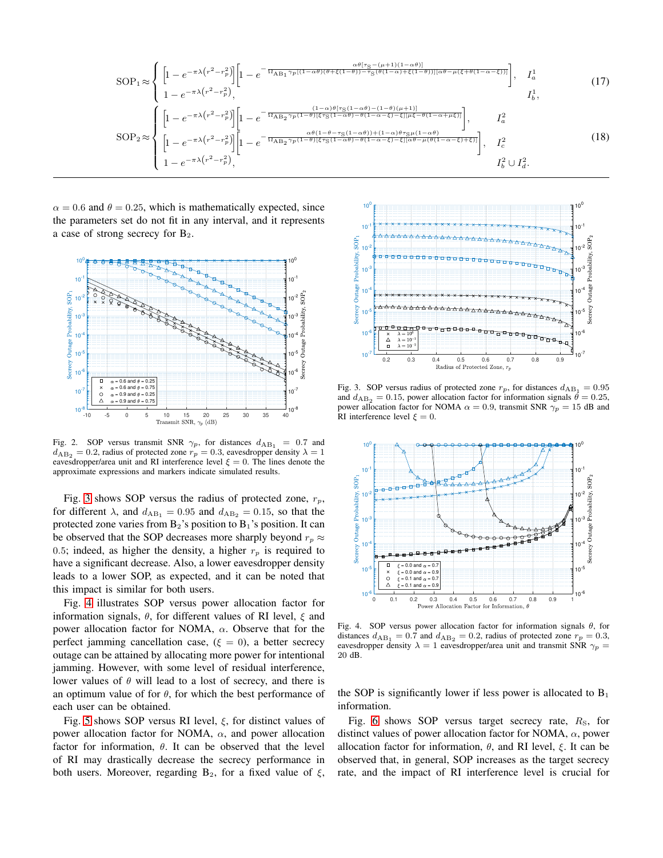$$
SOP_1 \approx \begin{cases} \left[1 - e^{-\pi\lambda\left(r^2 - r_p^2\right)}\right] \left[1 - e^{-\frac{\alpha\theta[\tau_S - (\mu + 1)(1 - \alpha\theta)]}{\Omega_{AB_1}\gamma_p[(1 - \alpha\theta)(\theta + \xi(1 - \theta)) - \tau_S(\theta(1 - \alpha) + \xi(1 - \theta))][\alpha\theta - \mu(\xi + \theta(1 - \alpha - \xi))]}\right], & I_a^1 \\ 1 - e^{-\pi\lambda\left(r^2 - r_p^2\right)}, & I_b^1, \end{cases} \tag{17}
$$
  
\n
$$
SOP_2 \approx \begin{cases} \left[1 - e^{-\pi\lambda\left(r^2 - r_p^2\right)}\right] \left[1 - e^{-\frac{(1 - \alpha)\theta[\tau_S(1 - \alpha\theta) - (1 - \theta)(\mu + 1)]}{\Omega_{AB_2}\gamma_p(1 - \theta)[\xi\tau_S(1 - \alpha\theta) - \theta(1 - \alpha - \xi) - \xi][\mu\xi - \theta(1 - \alpha + \mu\xi)]}\right], & I_a^2 \\ \left[1 - e^{-\pi\lambda\left(r^2 - r_p^2\right)}\right] \left[1 - e^{-\frac{\alpha\theta(1 - \theta - \tau_S(1 - \alpha\theta)) + (1 - \alpha)\theta\tau_S\mu(1 - \alpha\theta)}{\Omega_{AB_2}\gamma_p(1 - \theta)[\xi\tau_S(1 - \alpha\theta) - \theta(1 - \alpha - \xi) - \xi][\alpha\theta - \mu(\theta(1 - \alpha - \xi) + \xi)]}\right], & I_c^2 \\ 1 - e^{-\pi\lambda\left(r^2 - r_p^2\right)}, & I_b^2 \cup I_d^2. \end{cases} \tag{18}
$$

 $\alpha = 0.6$  and  $\theta = 0.25$ , which is mathematically expected, since the parameters set do not fit in any interval, and it represents a case of strong secrecy for  $B_2$ .



<span id="page-3-2"></span>Fig. 2. SOP versus transmit SNR  $\gamma_p$ , for distances  $d_{AB_1} = 0.7$  and  $d_{AB_2} = 0.2$ , radius of protected zone  $r_p = 0.3$ , eavesdropper density  $\lambda = 1$ eavesdropper/area unit and RI interference level  $\xi = 0$ . The lines denote the approximate expressions and markers indicate simulated results.

Fig. [3](#page-3-3) shows SOP versus the radius of protected zone,  $r_p$ , for different  $\lambda$ , and  $d_{AB_1} = 0.95$  and  $d_{AB_2} = 0.15$ , so that the protected zone varies from  $B_2$ 's position to  $B_1$ 's position. It can be observed that the SOP decreases more sharply beyond  $r_p \approx$ 0.5; indeed, as higher the density, a higher  $r_p$  is required to have a significant decrease. Also, a lower eavesdropper density leads to a lower SOP, as expected, and it can be noted that this impact is similar for both users.

Fig. [4](#page-3-4) illustrates SOP versus power allocation factor for information signals,  $\theta$ , for different values of RI level,  $\xi$  and power allocation factor for NOMA,  $\alpha$ . Observe that for the perfect jamming cancellation case, ( $\xi = 0$ ), a better secrecy outage can be attained by allocating more power for intentional jamming. However, with some level of residual interference, lower values of  $\theta$  will lead to a lost of secrecy, and there is an optimum value of for  $\theta$ , for which the best performance of each user can be obtained.

Fig. [5](#page-4-0) shows SOP versus RI level,  $\xi$ , for distinct values of power allocation factor for NOMA,  $\alpha$ , and power allocation factor for information,  $\theta$ . It can be observed that the level of RI may drastically decrease the secrecy performance in both users. Moreover, regarding  $B_2$ , for a fixed value of  $\xi$ ,

<span id="page-3-1"></span><span id="page-3-0"></span>

<span id="page-3-3"></span>Fig. 3. SOP versus radius of protected zone  $r_p$ , for distances  $d_{AB_1} = 0.95$ and  $d_{AB_2} = 0.15$ , power allocation factor for information signals  $\dot{\theta} = 0.25$ , power allocation factor for NOMA  $\alpha = 0.9$ , transmit SNR  $\gamma_p = 15$  dB and RI interference level  $\xi = 0$ .



<span id="page-3-4"></span>Fig. 4. SOP versus power allocation factor for information signals  $\theta$ , for distances  $d_{AB_1} = 0.7$  and  $d_{AB_2} = 0.2$ , radius of protected zone  $r_p = 0.3$ , eavesdropper density  $\lambda = 1$  eavesdropper/area unit and transmit SNR  $\gamma_p =$ 20 dB.

the SOP is significantly lower if less power is allocated to  $B_1$ information.

Fig. [6](#page-4-1) shows SOP versus target secrecy rate,  $R<sub>S</sub>$ , for distinct values of power allocation factor for NOMA,  $\alpha$ , power allocation factor for information,  $\theta$ , and RI level,  $\xi$ . It can be observed that, in general, SOP increases as the target secrecy rate, and the impact of RI interference level is crucial for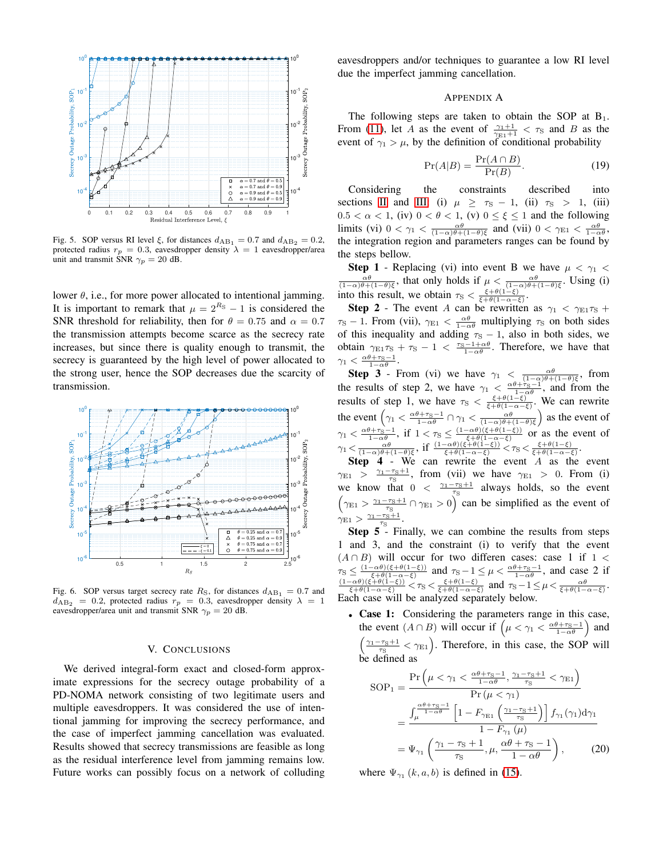

<span id="page-4-0"></span>Fig. 5. SOP versus RI level  $\xi$ , for distances  $d_{AB_1} = 0.7$  and  $d_{AB_2} = 0.2$ , protected radius  $r_p = 0.3$ , eavesdropper density  $\lambda = 1$  eavesdropper/area unit and transmit SNR  $\gamma_p = 20$  dB.

lower  $\theta$ , i.e., for more power allocated to intentional jamming. It is important to remark that  $\mu = 2^{R_S} - 1$  is considered the SNR threshold for reliability, then for  $\theta = 0.75$  and  $\alpha = 0.7$ the transmission attempts become scarce as the secrecy rate increases, but since there is quality enough to transmit, the secrecy is guaranteed by the high level of power allocated to the strong user, hence the SOP decreases due the scarcity of transmission.



<span id="page-4-1"></span>Fig. 6. SOP versus target secrecy rate  $R<sub>S</sub>$ , for distances  $d_{AB_1} = 0.7$  and  $d_{\rm AB_2}$  = 0.2, protected radius  $r_p$  = 0.3, eavesdropper density  $\lambda$  = 1 eavesdropper/area unit and transmit SNR  $\gamma_p = 20$  dB.

## V. CONCLUSIONS

We derived integral-form exact and closed-form approximate expressions for the secrecy outage probability of a PD-NOMA network consisting of two legitimate users and multiple eavesdroppers. It was considered the use of intentional jamming for improving the secrecy performance, and the case of imperfect jamming cancellation was evaluated. Results showed that secrecy transmissions are feasible as long as the residual interference level from jamming remains low. Future works can possibly focus on a network of colluding eavesdroppers and/or techniques to guarantee a low RI level due the imperfect jamming cancellation.

## APPENDIX A

The following steps are taken to obtain the SOP at  $B_1$ . From [\(11\)](#page-2-0), let A as the event of  $\frac{\gamma_1+1}{\gamma_{E1}+1} < \tau_S$  and B as the event of  $\gamma_1 > \mu$ , by the definition of conditional probability

$$
\Pr(A|B) = \frac{\Pr(A \cap B)}{\Pr(B)}.\tag{19}
$$

Considering the constraints described into sections [II](#page-1-5) and [III:](#page-2-4) (i)  $\mu \geq \tau_s - 1$ , (ii)  $\tau_s > 1$ , (iii)  $0.5 < \alpha < 1$ , (iv)  $0 < \theta < 1$ , (v)  $0 \le \xi \le 1$  and the following limits (vi)  $0 < \gamma_1 < \frac{\alpha \theta}{(1-\alpha)\theta + (1-\theta)\xi}$  and (vii)  $0 < \gamma_{E1} < \frac{\alpha \theta}{1-\alpha\theta}$ , the integration region and parameters ranges can be found by the steps bellow.

**Step 1** - Replacing (vi) into event B we have  $\mu < \gamma_1 <$  $\frac{\alpha\theta}{(1-\alpha)\theta+(1-\theta)\xi}$ , that only holds if  $\mu < \frac{\alpha\theta}{(1-\alpha)\theta+(1-\theta)\xi}$ . Using (i) into this result, we obtain  $\tau_{\rm S} < \frac{\xi + \theta(1-\xi)}{\xi + \theta(1-\alpha-\xi)}$ .

**Step 2** - The event A can be rewritten as  $\gamma_1 < \gamma_{E1}\tau_S$  +  $\tau_{\rm S}$  – 1. From (vii),  $\gamma_{\rm E1} < \frac{\alpha \theta}{1-\alpha \theta}$  multiplying  $\tau_{\rm S}$  on both sides of this inequality and adding  $\tau_s - 1$ , also in both sides, we obtain  $\gamma_{E1}\tau_S + \tau_S - 1 < \frac{\tau_S - 1 + \alpha\theta}{1 - \alpha\theta}$ . Therefore, we have that  $\gamma_1 < \frac{\alpha\theta + \tau_S - 1}{1 - \alpha\theta}.$ 

**Step 3** - From (vi) we have  $\gamma_1 < \frac{\alpha\theta}{(1-\alpha)\theta+(1-\theta)\xi}$ , from the results of step 2, we have  $\gamma_1 < \frac{\alpha \theta + \tau_{\rm S}-1}{1-\alpha \theta}$ , and from the results of step 1, we have  $\tau_{\rm S} < \frac{\xi + \theta(1-\xi)}{\xi + \theta(1-\alpha-\xi)}$ . We can rewrite the event  $\left(\gamma_1 < \frac{\alpha\theta + \tau_S - 1}{1 - \alpha\theta} \cap \gamma_1 < \frac{\alpha\theta}{(1 - \alpha)\theta + (1 - \theta)\xi}\right)$  as the event of  $\gamma_1 < \frac{\alpha\theta + \tau_S - 1}{1 - \alpha\theta}$ , if  $1 < \tau_S \leq \frac{(1 - \alpha\theta)(\xi + \theta(1 - \xi))}{\xi + \theta(1 - \alpha - \xi)}$  or as the event of  $\gamma_1 \langle \frac{\alpha\theta}{(1-\alpha)\theta+(1-\theta)\xi},\text{ if }\frac{(1-\alpha\theta)(\xi+\theta(1-\xi))}{\xi+\theta(1-\alpha-\xi)}\zeta\tau_5 \langle \frac{\xi+\theta(1-\xi)}{\xi+\theta(1-\alpha-\xi)}\rangle.$ 

Step 4 - We can rewrite the event A as the event  $\gamma_{E1} > \frac{\gamma_1 - \tau_S + 1}{\tau_S}$ , from (vii) we have  $\gamma_{E1} > 0$ . From (i) we know that  $0 < \frac{\gamma_1 - \tau_s + 1}{\tau_s}$  always holds, so the event  $(\gamma_{E1} > \frac{\gamma_1 - \tau_S + 1}{\tau_S} \cap \gamma_{E1} > 0)$  can be simplified as the event of  $\gamma_{\text{E1}} > \frac{\gamma_1 - \tau_{\text{S}} + 1}{\tau_{\text{S}}}$ .

**Step 5**<sup> $\overline{5}$ </sup>- Finally, we can combine the results from steps 1 and 3, and the constraint (i) to verify that the event  $(A \cap B)$  will occur for two differen cases: case 1 if 1 <  $\tau_S \leq \frac{(1-\alpha\theta)(\xi+\theta(1-\xi))}{\xi+\theta(1-\alpha-\xi)}$  and  $\tau_S-1 \leq \mu < \frac{\alpha\theta+\tau_S-1}{1-\alpha\theta}$ , and case 2 if  $\frac{(1-\alpha\theta)(\xi+\theta(1-\xi))}{\xi+\theta(1-\alpha-\xi)} < \tau_S < \frac{\xi+\theta(1-\xi)}{\xi+\theta(1-\alpha-\xi)}$  and  $\tau_S-1 \leq \mu < \frac{\alpha\theta}{\xi+\theta(1-\alpha-\xi)}$ . Each case will be analyzed separately below.

• Case 1: Considering the parameters range in this case, the event  $(A \cap B)$  will occur if  $\left(\mu < \gamma_1 < \frac{\alpha \theta + \gamma_0 - 1}{1 - \alpha \theta}\right)$  and  $\sqrt{ }$  $\frac{\gamma_1-\tau_S+1}{\tau_S}<\gamma_{E1}$ ). Therefore, in this case, the SOP will be defined as

$$
SOP_1 = \frac{\Pr\left(\mu < \gamma_1 < \frac{\alpha\theta + \tau_S - 1}{1 - \alpha\theta}, \frac{\gamma_1 - \tau_S + 1}{\tau_S} < \gamma_{E1}\right)}{\Pr\left(\mu < \gamma_1\right)} \\
= \frac{\int_{\mu}^{\frac{\alpha\theta + \tau_S - 1}{1 - \alpha\theta}} \left[1 - F_{\gamma_{E1}}\left(\frac{\gamma_1 - \tau_S + 1}{\tau_S}\right)\right] f_{\gamma_1}(\gamma_1) d\gamma_1}{1 - F_{\gamma_1}(\mu)} \\
= \Psi_{\gamma_1} \left(\frac{\gamma_1 - \tau_S + 1}{\tau_S}, \mu, \frac{\alpha\theta + \tau_S - 1}{1 - \alpha\theta}\right), \tag{20}
$$

where  $\Psi_{\gamma_1}(k, a, b)$  is defined in [\(15\)](#page-2-5).